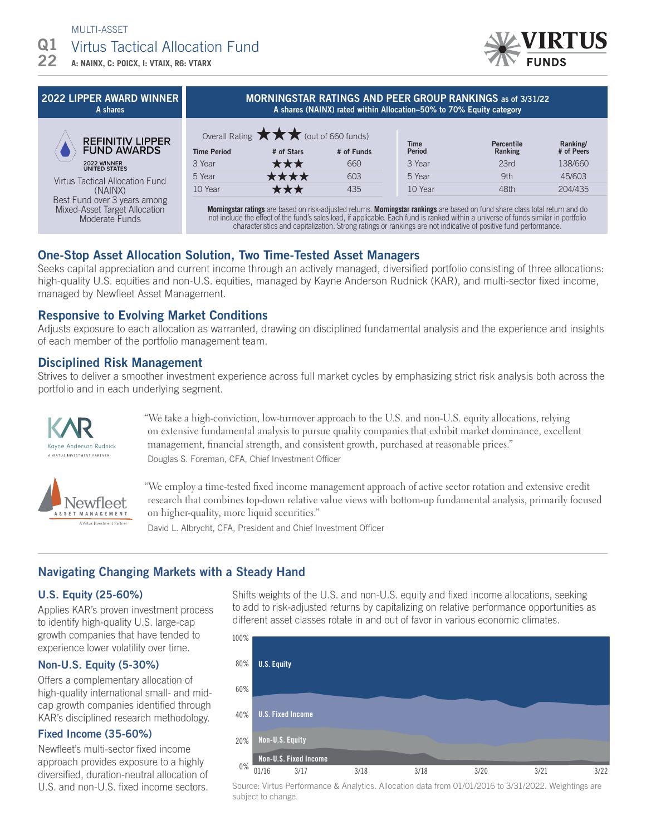### MULTI-ASSET

#### Virtus Tactical Allocation Fund  $Q1$

**A: NAINX, C: POICX, I: VTAIX, R6: VTARX** 22

### 2022 LIPPER AWARD WINNER A shares



| MUNIMUSIAN NATIMUS AND FEEN UNUUF NAMNIMUS 85 01 3/3 1/22<br>A shares (NAINX) rated within Allocation–50% to 70% Equity category |                                                     |            |               |                   |            |
|----------------------------------------------------------------------------------------------------------------------------------|-----------------------------------------------------|------------|---------------|-------------------|------------|
|                                                                                                                                  | Overall Rating $\star\star\star$ (out of 660 funds) |            | <b>Time</b>   | <b>Percentile</b> | Ranking/   |
| <b>Time Period</b>                                                                                                               | # of Stars                                          | # of Funds | <b>Period</b> | Ranking           | # of Peers |
| 3 Year                                                                                                                           | ★★★                                                 | 660        | 3 Year        | 23rd              | 138/660    |
| 5 Year                                                                                                                           | ****                                                | 603        | 5 Year        | 9th               | 45/603     |
| 10 Year                                                                                                                          | ★★★                                                 | 435        | 10 Year       | 48th              | 204/435    |
|                                                                                                                                  |                                                     |            |               |                   |            |

MORNINGSTAR RATINGS AND REER GROUP RANKING

**Morningstar ratings** are based on risk-adjusted returns. **Morningstar rankings** are based on fund share class total return and do not include the effect of the fund's sales load, if applicable. Each fund is ranked within a universe of funds similar in portfolio characteristics and capitalization. Strong ratings or rankings are not indicative of positive fund performance.

## One-Stop Asset Allocation Solution, Two Time-Tested Asset Managers

Seeks capital appreciation and current income through an actively managed, diversified portfolio consisting of three allocations: high-quality U.S. equities and non-U.S. equities, managed by Kayne Anderson Rudnick (KAR), and multi-sector fixed income, managed by Newfleet Asset Management.

## Responsive to Evolving Market Conditions

Adjusts exposure to each allocation as warranted, drawing on disciplined fundamental analysis and the experience and insights of each member of the portfolio management team.

## Disciplined Risk Management

Strives to deliver a smoother investment experience across full market cycles by emphasizing strict risk analysis both across the portfolio and in each underlying segment.





"We take a high-conviction, low-turnover approach to the U.S. and non-U.S. equity allocations, relying on extensive fundamental analysis to pursue quality companies that exhibit market dominance, excellent management, financial strength, and consistent growth, purchased at reasonable prices." Douglas S. Foreman, CFA, Chief Investment Officer

"We employ a time-tested fixed income management approach of active sector rotation and extensive credit research that combines top-down relative value views with bottom-up fundamental analysis, primarily focused on higher-quality, more liquid securities."

David L. Albrycht, CFA, President and Chief Investment Officer

# Navigating Changing Markets with a Steady Hand

## U.S. Equity (25-60%)

Applies KAR's proven investment process to identify high-quality U.S. large-cap growth companies that have tended to experience lower volatility over time.

## Non-U.S. Equity (5-30%)

Offers a complementary allocation of high-quality international small- and midcap growth companies identified through KAR's disciplined research methodology.

## Fixed Income (35-60%)

Newfleet's multi-sector fixed income approach provides exposure to a highly diversified, duration-neutral allocation of U.S. and non-U.S. fixed income sectors.

Shifts weights of the U.S. and non-U.S. equity and fixed income allocations, seeking to add to risk-adjusted returns by capitalizing on relative performance opportunities as different asset classes rotate in and out of favor in various economic climates.



Source: Virtus Performance & Analytics. Allocation data from 01/01/2016 to 3/31/2022. Weightings are subject to change.

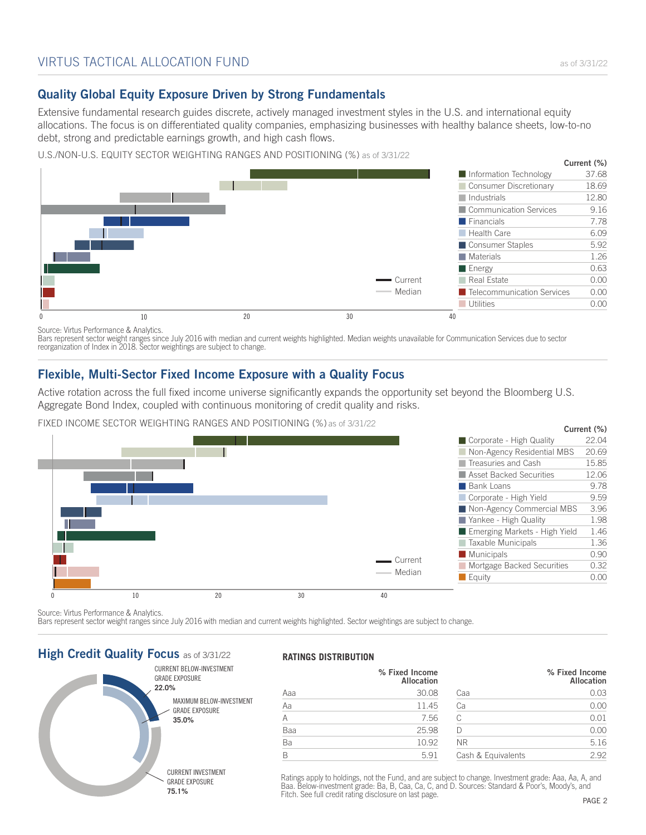# Quality Global Equity Exposure Driven by Strong Fundamentals

Extensive fundamental research guides discrete, actively managed investment styles in the U.S. and international equity allocations. The focus is on differentiated quality companies, emphasizing businesses with healthy balance sheets, low-to-no debt, strong and predictable earnings growth, and high cash flows.

U.S./NON-U.S. EQUITY SECTOR WEIGHTING RANGES AND POSITIONING (%) as of 3/31/22



Source: Virtus Performance & Analytics.

Bars represent sector weight ranges since July 2016 with median and current weights highlighted. Median weights unavailable for Communication Services due to sector reorganization of Index in 2018. Sector weightings are subject to change.

## Flexible, Multi-Sector Fixed Income Exposure with a Quality Focus

Active rotation across the full fixed income universe significantly expands the opportunity set beyond the Bloomberg U.S. Aggregate Bond Index, coupled with continuous monitoring of credit quality and risks.

FIXED INCOME SECTOR WEIGHTING RANGES AND POSITIONING (%) as of 3/31/22



Source: Virtus Performance & Analytics.

Bars represent sector weight ranges since July 2016 with median and current weights highlighted. Sector weightings are subject to change.

## **High Credit Quality Focus as of 3/31/22**



### **RATINGS DISTRIBUTION**

|     | % Fixed Income<br>Allocation |                    | % Fixed Income<br><b>Allocation</b> |
|-----|------------------------------|--------------------|-------------------------------------|
| Aaa | 30.08                        | Caa                | 0.03                                |
| Aa  | 11.45                        | Сa                 | 0.00                                |
| A   | 7.56                         | C                  | 0.01                                |
| Baa | 25.98                        |                    | 0.00                                |
| Ba  | 10.92                        | <b>NR</b>          | 5.16                                |
| B   | 5.91                         | Cash & Equivalents | 2.92                                |

Ratings apply to holdings, not the Fund, and are subject to change. Investment grade: Aaa, Aa, A, and Baa. Below-investment grade: Ba, B, Caa, Ca, C, and D. Sources: Standard & Poor's, Moody's, and Fitch. See full credit rating disclosure on last page.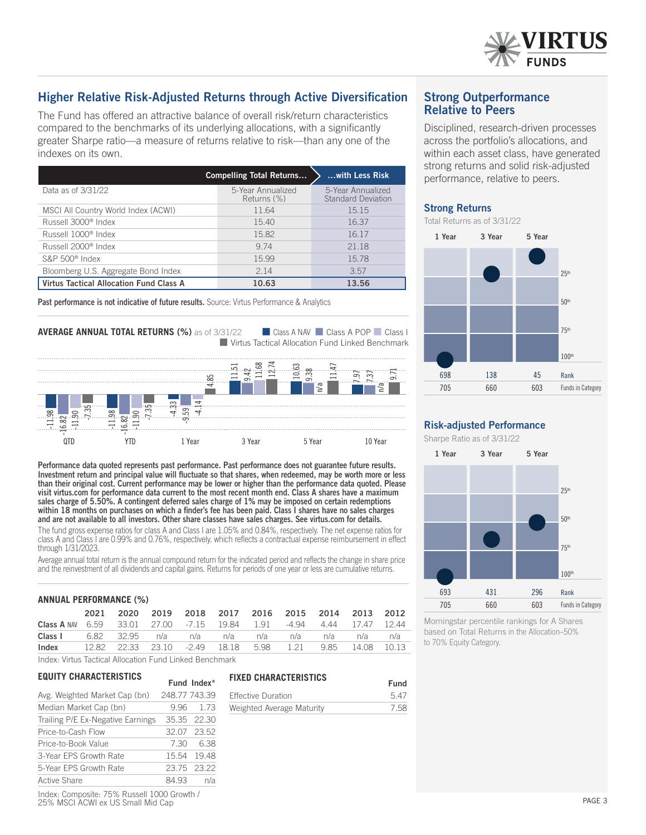

# Higher Relative Risk-Adjusted Returns through Active Diversification

The Fund has offered an attractive balance of overall risk/return characteristics compared to the benchmarks of its underlying allocations, with a significantly greater Sharpe ratio—a measure of returns relative to risk—than any one of the indexes on its own.

|                                         | <b>Compelling Total Returns</b>  | with Less Risk                                 |
|-----------------------------------------|----------------------------------|------------------------------------------------|
| Data as of 3/31/22                      | 5-Year Annualized<br>Returns (%) | 5-Year Annualized<br><b>Standard Deviation</b> |
| MSCI All Country World Index (ACWI)     | 1164                             | 15 15                                          |
| Russell 3000 <sup>®</sup> Index         | 1540                             | 16.37                                          |
| Russell 1000 <sup>®</sup> Index         | 15.82                            | 16.17                                          |
| Russell 2000 <sup>®</sup> Index         | 9 74                             | 21 18                                          |
| $S\&P 500$ <sup>®</sup> Index           | 15.99                            | 1578                                           |
| Bloomberg U.S. Aggregate Bond Index     | 2.14                             | 3.57                                           |
| Virtus Tactical Allocation Fund Class A | 10.63                            | 13.56                                          |

Past performance is not indicative of future results. Source: Virtus Performance & Analytics

# **AVERAGE ANNUAL TOTAL RETURNS (%)** as of 3/31/22 **n** Class A NAV **n** Class A POP **n** Class I

■ Virtus Tactical Allocation Fund Linked Benchmark



Performance data quoted represents past performance. Past performance does not guarantee future results. Investment return and principal value will fluctuate so that shares, when redeemed, may be worth more or less than their original cost. Current performance may be lower or higher than the performance data quoted. Please visit virtus.com for performance data current to the most recent month end. Class A shares have a maximum sales charge of 5.50%. A contingent deferred sales charge of 1% may be imposed on certain redemptions within 18 months on purchases on which a finder's fee has been paid. Class I shares have no sales charges and are not available to all investors. Other share classes have sales charges. See virtus.com for details.

The fund gross expense ratios for class A and Class I are 1.05% and 0.84%, respectively. The net expense ratios for class A and Class I are 0.99% and 0.76%, respectively. which reflects a contractual expense reimbursement in effect through 1/31/2023.

Average annual total return is the annual compound return for the indicated period and reflects the change in share price and the reinvestment of all dividends and capital gains. Returns for periods of one year or less are cumulative returns.

| <b>ANNUAL PERFORMANCE (%)</b>                           |       |         |                         |      |         |      |       |      |       |       |
|---------------------------------------------------------|-------|---------|-------------------------|------|---------|------|-------|------|-------|-------|
|                                                         | 2021  | 2020    | 2019                    | 2018 | 2017    | 2016 | 2015  | 2014 | 2013  | 2012  |
| <b>Class A NAV</b>                                      | 6.59  |         | 33.01 27.00 -7.15 19.84 |      |         | 191  | -4 94 | 4 44 | 1747  | 1244  |
| Class I                                                 | 6.82  | 3295    | n/a                     | n/a  | n/a     | n/a  | n/a   | n/a  | n/a   | n/a   |
| Index                                                   | 12.82 | - 22.33 | 23.10 -2.49             |      | - 18.18 | 5.98 | 121   | 985  | 14.08 | 10 13 |
| Index: Virtus Tactical Allocation Fund Linked Benchmark |       |         |                         |      |         |      |       |      |       |       |

**FIXED CHARACTERISTICS**

Effective Duration 5.47 Weighted Average Maturity 7.58

## **EQUITY CHARACTERISTICS**

| Avg. Weighted Market Cap (bn)     | 248.77 743.39 |             |
|-----------------------------------|---------------|-------------|
| Median Market Cap (bn)            |               | 9.96 1.73   |
| Trailing P/E Ex-Negative Earnings |               | 35.35 22.30 |
| Price-to-Cash Flow                |               | 32.07 23.52 |
| Price-to-Book Value               |               | 7.30 6.38   |
| 3-Year EPS Growth Rate            |               | 15.54 19.48 |
| 5-Year EPS Growth Rate            |               | 23.75 23.22 |
| <b>Active Share</b>               | 84.93         | n/a         |
|                                   |               |             |

Index: Composite: 75% Russell 1000 Growth / 25% MSCI ACWI ex US Small Mid Cap

| <b>Strong Outperformance</b> |
|------------------------------|
| <b>Relative to Peers</b>     |

Disciplined, research-driven processes across the portfolio's allocations, and within each asset class, have generated strong returns and solid risk-adjusted performance, relative to peers.

### Strong Returns

Total Returns as of 3/31/22



### Risk-adjusted Performance

Sharpe Ratio as of 3/31/22



Morningstar percentile rankings for A Shares based on Total Returns in the Allocation–50% to 70% Equity Category.

Fund